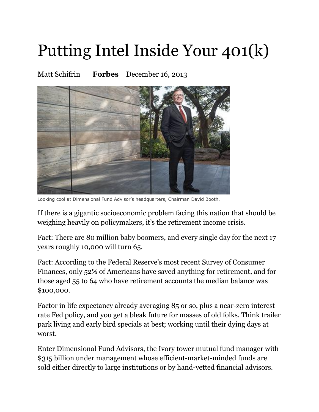## Putting Intel Inside Your 401(k)

Matt Schifrin **Forbes** December 16, 2013



Looking cool at Dimensional Fund Advisor's headquarters, Chairman David Booth.

If there is a gigantic socioeconomic problem facing this nation that should be weighing heavily on policymakers, it's the retirement income crisis.

Fact: There are 80 million baby boomers, and every single day for the next 17 years roughly 10,000 will turn 65.

Fact: According to the Federal Reserve's most recent Survey of Consumer Finances, only 52% of Americans have saved anything for retirement, and for those aged 55 to 64 who have retirement accounts the median balance was \$100,000.

Factor in life expectancy already averaging 85 or so, plus a near-zero interest rate Fed policy, and you get a bleak future for masses of old folks. Think trailer park living and early bird specials at best; working until their dying days at worst.

Enter Dimensional Fund Advisors, the Ivory tower mutual fund manager with \$315 billion under management whose efficient-market-minded funds are sold either directly to large institutions or by hand-vetted financial advisors.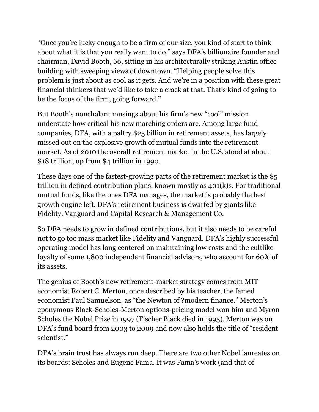"Once you're lucky enough to be a firm of our size, you kind of start to think about what it is that you really want to do," says DFA's billionaire founder and chairman, David Booth, 66, sitting in his architecturally striking Austin office building with sweeping views of downtown. "Helping people solve this problem is just about as cool as it gets. And we're in a position with these great financial thinkers that we'd like to take a crack at that. That's kind of going to be the focus of the firm, going forward."

But Booth's nonchalant musings about his firm's new "cool" mission understate how critical his new marching orders are. Among large fund companies, DFA, with a paltry \$25 billion in retirement assets, has largely missed out on the explosive growth of mutual funds into the retirement market. As of 2010 the overall retirement market in the U.S. stood at about \$18 trillion, up from \$4 trillion in 1990.

These days one of the fastest-growing parts of the retirement market is the \$5 trillion in defined contribution plans, known mostly as 401(k)s. For traditional mutual funds, like the ones DFA manages, the market is probably the best growth engine left. DFA's retirement business is dwarfed by giants like Fidelity, Vanguard and Capital Research & Management Co.

So DFA needs to grow in defined contributions, but it also needs to be careful not to go too mass market like Fidelity and Vanguard. DFA's highly successful operating model has long centered on maintaining low costs and the cultlike loyalty of some 1,800 independent financial advisors, who account for 60% of its assets.

The genius of Booth's new retirement-market strategy comes from MIT economist Robert C. Merton, once described by his teacher, the famed economist Paul Samuelson, as "the Newton of ?modern finance." Merton's eponymous Black-Scholes-Merton options-pricing model won him and Myron Scholes the Nobel Prize in 1997 (Fischer Black died in 1995). Merton was on DFA's fund board from 2003 to 2009 and now also holds the title of "resident scientist."

DFA's brain trust has always run deep. There are two other Nobel laureates on its boards: Scholes and Eugene Fama. It was Fama's work (and that of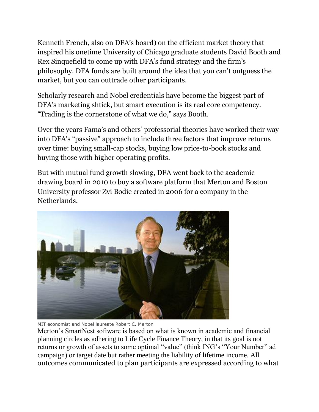Kenneth French, also on DFA's board) on the efficient market theory that inspired his onetime University of Chicago graduate students David Booth and Rex Sinquefield to come up with DFA's fund strategy and the firm's philosophy. DFA funds are built around the idea that you can't outguess the market, but you can outtrade other participants.

Scholarly research and Nobel credentials have become the biggest part of DFA's marketing shtick, but smart execution is its real core competency. "Trading is the cornerstone of what we do," says Booth.

Over the years Fama's and others' professorial theories have worked their way into DFA's "passive" approach to include three factors that improve returns over time: buying small-cap stocks, buying low price-to-book stocks and buying those with higher operating profits.

But with mutual fund growth slowing, DFA went back to the academic drawing board in 2010 to buy a software platform that Merton and Boston University professor Zvi Bodie created in 2006 for a company in the Netherlands.



MIT economist and Nobel laureate Robert C. Merton

Merton's SmartNest software is based on what is known in academic and financial planning circles as adhering to Life Cycle Finance Theory, in that its goal is not returns or growth of assets to some optimal "value" (think ING's "Your Number" ad campaign) or target date but rather meeting the liability of lifetime income. All outcomes communicated to plan participants are expressed according to what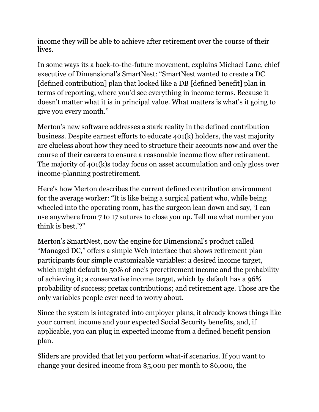income they will be able to achieve after retirement over the course of their lives.

In some ways its a back-to-the-future movement, explains Michael Lane, chief executive of Dimensional's SmartNest: "SmartNest wanted to create a DC [defined contribution] plan that looked like a DB [defined benefit] plan in terms of reporting, where you'd see everything in income terms. Because it doesn't matter what it is in principal value. What matters is what's it going to give you every month."

Merton's new software addresses a stark reality in the defined contribution business. Despite earnest efforts to educate 401(k) holders, the vast majority are clueless about how they need to structure their accounts now and over the course of their careers to ensure a reasonable income flow after retirement. The majority of 401(k)s today focus on asset accumulation and only gloss over income-planning postretirement.

Here's how Merton describes the current defined contribution environment for the average worker: "It is like being a surgical patient who, while being wheeled into the operating room, has the surgeon lean down and say, 'I can use anywhere from 7 to 17 sutures to close you up. Tell me what number you think is best.'?"

Merton's SmartNest, now the engine for Dimensional's product called "Managed DC," offers a simple Web interface that shows retirement plan participants four simple customizable variables: a desired income target, which might default to 50% of one's preretirement income and the probability of achieving it; a conservative income target, which by default has a 96% probability of success; pretax contributions; and retirement age. Those are the only variables people ever need to worry about.

Since the system is integrated into employer plans, it already knows things like your current income and your expected Social Security benefits, and, if applicable, you can plug in expected income from a defined benefit pension plan.

Sliders are provided that let you perform what-if scenarios. If you want to change your desired income from \$5,000 per month to \$6,000, the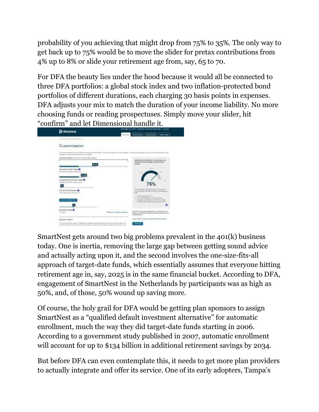probability of you achieving that might drop from 75% to 35%. The only way to get back up to 75% would be to move the slider for pretax contributions from 4% up to 8% or slide your retirement age from, say, 65 to 70.

For DFA the beauty lies under the hood because it would all be connected to three DFA portfolios: a global stock index and two inflation-protected bond portfolios of different durations, each charging 30 basis points in expenses. DFA adjusts your mix to match the duration of your income liability. No more choosing funds or reading prospectuses. Simply move your slider, hit "confirm" and let Dimensional handle it.



SmartNest gets around two big problems prevalent in the 401(k) business today. One is inertia, removing the large gap between getting sound advice and actually acting upon it, and the second involves the one-size-fits-all approach of target-date funds, which essentially assumes that everyone hitting retirement age in, say, 2025 is in the same financial bucket. According to DFA, engagement of SmartNest in the Netherlands by participants was as high as 50%, and, of those, 50% wound up saving more.

Of course, the holy grail for DFA would be getting plan sponsors to assign SmartNest as a "qualified default investment alternative" for automatic enrollment, much the way they did target-date funds starting in 2006. According to a government study published in 2007, automatic enrollment will account for up to \$134 billion in additional retirement savings by 2034.

But before DFA can even contemplate this, it needs to get more plan providers to actually integrate and offer its service. One of its early adopters, Tampa's